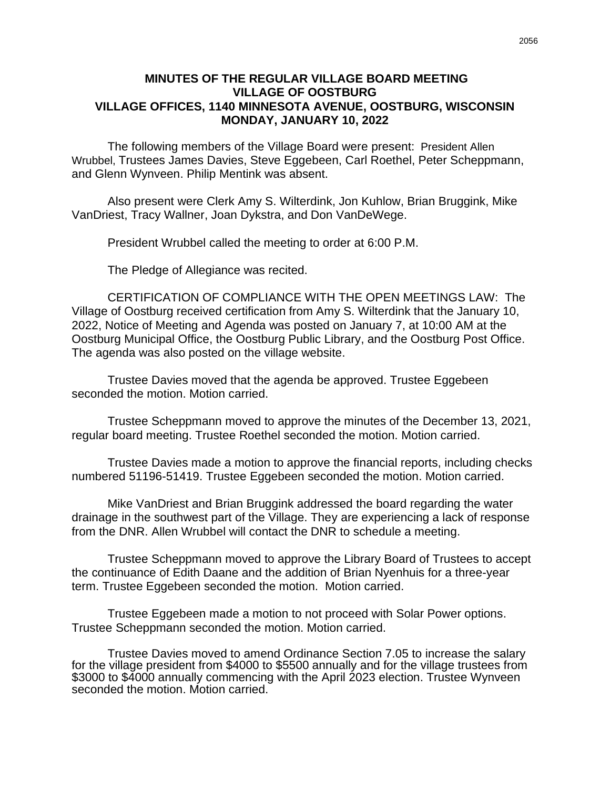## **MINUTES OF THE REGULAR VILLAGE BOARD MEETING VILLAGE OF OOSTBURG VILLAGE OFFICES, 1140 MINNESOTA AVENUE, OOSTBURG, WISCONSIN MONDAY, JANUARY 10, 2022**

The following members of the Village Board were present: President Allen Wrubbel, Trustees James Davies, Steve Eggebeen, Carl Roethel, Peter Scheppmann, and Glenn Wynveen. Philip Mentink was absent.

Also present were Clerk Amy S. Wilterdink, Jon Kuhlow, Brian Bruggink, Mike VanDriest, Tracy Wallner, Joan Dykstra, and Don VanDeWege.

President Wrubbel called the meeting to order at 6:00 P.M.

The Pledge of Allegiance was recited.

CERTIFICATION OF COMPLIANCE WITH THE OPEN MEETINGS LAW: The Village of Oostburg received certification from Amy S. Wilterdink that the January 10, 2022, Notice of Meeting and Agenda was posted on January 7, at 10:00 AM at the Oostburg Municipal Office, the Oostburg Public Library, and the Oostburg Post Office. The agenda was also posted on the village website.

Trustee Davies moved that the agenda be approved. Trustee Eggebeen seconded the motion. Motion carried.

Trustee Scheppmann moved to approve the minutes of the December 13, 2021, regular board meeting. Trustee Roethel seconded the motion. Motion carried.

Trustee Davies made a motion to approve the financial reports, including checks numbered 51196-51419. Trustee Eggebeen seconded the motion. Motion carried.

Mike VanDriest and Brian Bruggink addressed the board regarding the water drainage in the southwest part of the Village. They are experiencing a lack of response from the DNR. Allen Wrubbel will contact the DNR to schedule a meeting.

Trustee Scheppmann moved to approve the Library Board of Trustees to accept the continuance of Edith Daane and the addition of Brian Nyenhuis for a three-year term. Trustee Eggebeen seconded the motion. Motion carried.

Trustee Eggebeen made a motion to not proceed with Solar Power options. Trustee Scheppmann seconded the motion. Motion carried.

Trustee Davies moved to amend Ordinance Section 7.05 to increase the salary for the village president from \$4000 to \$5500 annually and for the village trustees from \$3000 to \$4000 annually commencing with the April 2023 election. Trustee Wynveen seconded the motion. Motion carried.